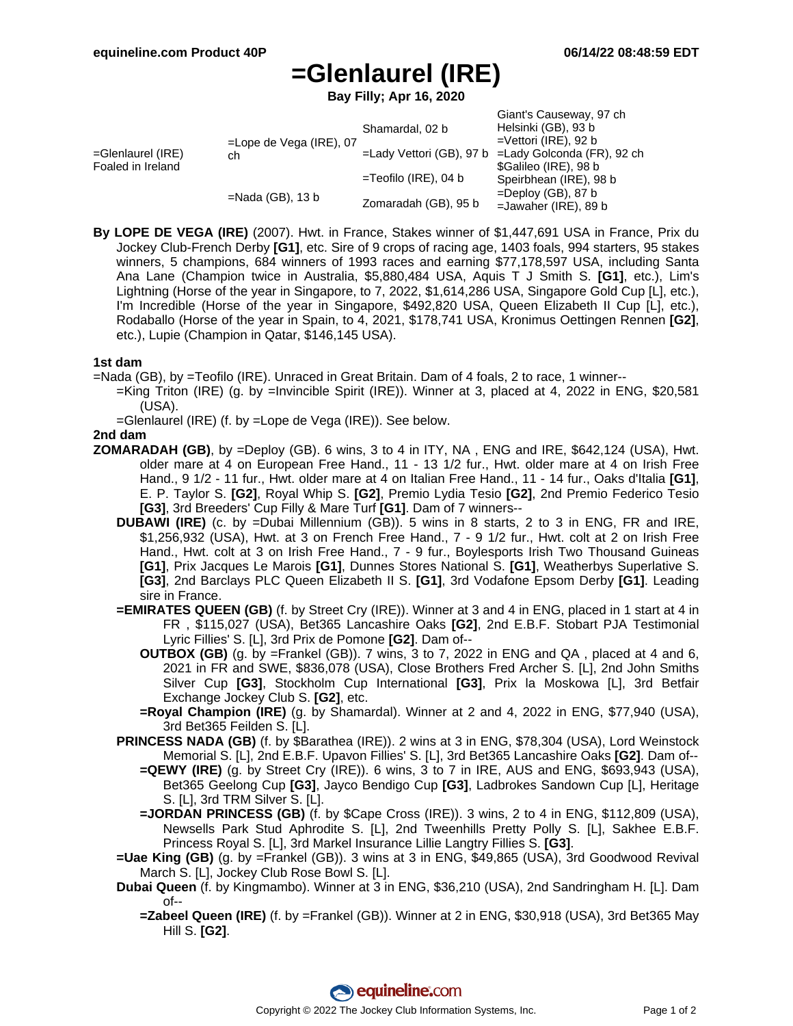# **=Glenlaurel (IRE)**

**Bay Filly; Apr 16, 2020**

| $=$ Glenlaurel (IRE)<br>Foaled in Ireland | $=$ Lope de Vega (IRE), 07<br>ch | Shamardal, 02 b             | Giant's Causeway, 97 ch<br>Helsinki (GB), 93 b<br>$=$ Vettori (IRE), 92 b |
|-------------------------------------------|----------------------------------|-----------------------------|---------------------------------------------------------------------------|
|                                           |                                  | $=$ Lady Vettori (GB), 97 b | =Lady Golconda (FR), 92 ch                                                |
|                                           |                                  |                             | \$Galileo (IRE), 98 b                                                     |
|                                           |                                  | $=$ Teofilo (IRE), 04 b     | Speirbhean (IRE), 98 b                                                    |
|                                           | $=$ Nada (GB), 13 b              | Zomaradah (GB), 95 b        | $=$ Deploy (GB), 87 b<br>$=$ Jawaher (IRE), 89 b                          |

**By LOPE DE VEGA (IRE)** (2007). Hwt. in France, Stakes winner of \$1,447,691 USA in France, Prix du Jockey Club-French Derby **[G1]**, etc. Sire of 9 crops of racing age, 1403 foals, 994 starters, 95 stakes winners, 5 champions, 684 winners of 1993 races and earning \$77,178,597 USA, including Santa Ana Lane (Champion twice in Australia, \$5,880,484 USA, Aquis T J Smith S. **[G1]**, etc.), Lim's Lightning (Horse of the year in Singapore, to 7, 2022, \$1,614,286 USA, Singapore Gold Cup [L], etc.), I'm Incredible (Horse of the year in Singapore, \$492,820 USA, Queen Elizabeth II Cup [L], etc.), Rodaballo (Horse of the year in Spain, to 4, 2021, \$178,741 USA, Kronimus Oettingen Rennen **[G2]**, etc.), Lupie (Champion in Qatar, \$146,145 USA).

### **1st dam**

=Nada (GB), by =Teofilo (IRE). Unraced in Great Britain. Dam of 4 foals, 2 to race, 1 winner--

- =King Triton (IRE) (g. by =Invincible Spirit (IRE)). Winner at 3, placed at 4, 2022 in ENG, \$20,581 (USA).
- =Glenlaurel (IRE) (f. by =Lope de Vega (IRE)). See below.

### **2nd dam**

- **ZOMARADAH (GB)**, by =Deploy (GB). 6 wins, 3 to 4 in ITY, NA , ENG and IRE, \$642,124 (USA), Hwt. older mare at 4 on European Free Hand., 11 - 13 1/2 fur., Hwt. older mare at 4 on Irish Free Hand., 9 1/2 - 11 fur., Hwt. older mare at 4 on Italian Free Hand., 11 - 14 fur., Oaks d'Italia **[G1]**, E. P. Taylor S. **[G2]**, Royal Whip S. **[G2]**, Premio Lydia Tesio **[G2]**, 2nd Premio Federico Tesio **[G3]**, 3rd Breeders' Cup Filly & Mare Turf **[G1]**. Dam of 7 winners--
	- **DUBAWI (IRE)** (c. by =Dubai Millennium (GB)). 5 wins in 8 starts, 2 to 3 in ENG, FR and IRE, \$1,256,932 (USA), Hwt. at 3 on French Free Hand., 7 - 9 1/2 fur., Hwt. colt at 2 on Irish Free Hand., Hwt. colt at 3 on Irish Free Hand., 7 - 9 fur., Boylesports Irish Two Thousand Guineas **[G1]**, Prix Jacques Le Marois **[G1]**, Dunnes Stores National S. **[G1]**, Weatherbys Superlative S. **[G3]**, 2nd Barclays PLC Queen Elizabeth II S. **[G1]**, 3rd Vodafone Epsom Derby **[G1]**. Leading sire in France.
	- **=EMIRATES QUEEN (GB)** (f. by Street Cry (IRE)). Winner at 3 and 4 in ENG, placed in 1 start at 4 in FR , \$115,027 (USA), Bet365 Lancashire Oaks **[G2]**, 2nd E.B.F. Stobart PJA Testimonial Lyric Fillies' S. [L], 3rd Prix de Pomone **[G2]**. Dam of--
		- **OUTBOX (GB)** (g. by =Frankel (GB)). 7 wins, 3 to 7, 2022 in ENG and QA , placed at 4 and 6, 2021 in FR and SWE, \$836,078 (USA), Close Brothers Fred Archer S. [L], 2nd John Smiths Silver Cup **[G3]**, Stockholm Cup International **[G3]**, Prix la Moskowa [L], 3rd Betfair Exchange Jockey Club S. **[G2]**, etc.
		- **=Royal Champion (IRE)** (g. by Shamardal). Winner at 2 and 4, 2022 in ENG, \$77,940 (USA), 3rd Bet365 Feilden S. [L].
	- **PRINCESS NADA (GB)** (f. by \$Barathea (IRE)). 2 wins at 3 in ENG, \$78,304 (USA), Lord Weinstock Memorial S. [L], 2nd E.B.F. Upavon Fillies' S. [L], 3rd Bet365 Lancashire Oaks **[G2]**. Dam of--
		- **=QEWY (IRE)** (g. by Street Cry (IRE)). 6 wins, 3 to 7 in IRE, AUS and ENG, \$693,943 (USA), Bet365 Geelong Cup **[G3]**, Jayco Bendigo Cup **[G3]**, Ladbrokes Sandown Cup [L], Heritage S. [L], 3rd TRM Silver S. [L].
		- **=JORDAN PRINCESS (GB)** (f. by \$Cape Cross (IRE)). 3 wins, 2 to 4 in ENG, \$112,809 (USA), Newsells Park Stud Aphrodite S. [L], 2nd Tweenhills Pretty Polly S. [L], Sakhee E.B.F. Princess Royal S. [L], 3rd Markel Insurance Lillie Langtry Fillies S. **[G3]**.
	- **=Uae King (GB)** (g. by =Frankel (GB)). 3 wins at 3 in ENG, \$49,865 (USA), 3rd Goodwood Revival March S. [L], Jockey Club Rose Bowl S. [L].
	- **Dubai Queen** (f. by Kingmambo). Winner at 3 in ENG, \$36,210 (USA), 2nd Sandringham H. [L]. Dam of--
		- **=Zabeel Queen (IRE)** (f. by =Frankel (GB)). Winner at 2 in ENG, \$30,918 (USA), 3rd Bet365 May Hill S. **[G2]**.